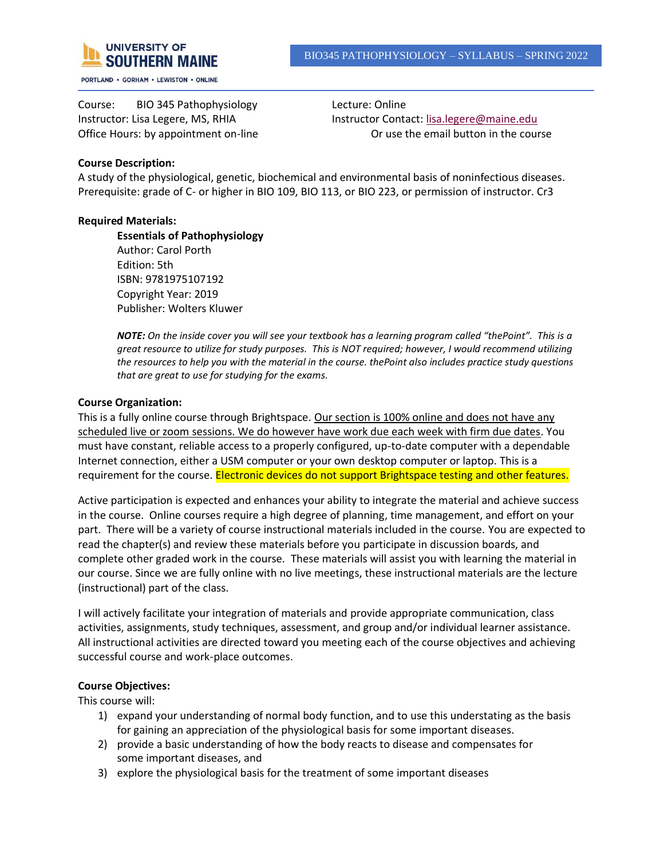

PORTLAND . GORHAM . LEWISTON . ONLINE

Course: BIO 345 Pathophysiology Lecture: Online

Instructor: Lisa Legere, MS, RHIA Instructor Contact: [lisa.legere@maine.edu](mailto:lisa.legere@maine.edu) Office Hours: by appointment on-line **Or use the email button in the course** Or use the email button in the course

## **Course Description:**

A study of the physiological, genetic, biochemical and environmental basis of noninfectious diseases. Prerequisite: grade of C- or higher in BIO 109, BIO 113, or BIO 223, or permission of instructor. Cr3

### **Required Materials:**

**Essentials of Pathophysiology** Author: Carol Porth Edition: 5th ISBN: 9781975107192 Copyright Year: 2019 Publisher: Wolters Kluwer

*NOTE: On the inside cover you will see your textbook has a learning program called "thePoint". This is a great resource to utilize for study purposes. This is NOT required; however, I would recommend utilizing the resources to help you with the material in the course. thePoint also includes practice study questions that are great to use for studying for the exams.*

### **Course Organization:**

This is a fully online course through Brightspace. Our section is 100% online and does not have any scheduled live or zoom sessions. We do however have work due each week with firm due dates. You must have constant, reliable access to a properly configured, up-to-date computer with a dependable Internet connection, either a USM computer or your own desktop computer or laptop. This is a requirement for the course. Electronic devices do not support Brightspace testing and other features.

Active participation is expected and enhances your ability to integrate the material and achieve success in the course. Online courses require a high degree of planning, time management, and effort on your part. There will be a variety of course instructional materials included in the course. You are expected to read the chapter(s) and review these materials before you participate in discussion boards, and complete other graded work in the course. These materials will assist you with learning the material in our course. Since we are fully online with no live meetings, these instructional materials are the lecture (instructional) part of the class.

I will actively facilitate your integration of materials and provide appropriate communication, class activities, assignments, study techniques, assessment, and group and/or individual learner assistance. All instructional activities are directed toward you meeting each of the course objectives and achieving successful course and work-place outcomes.

## **Course Objectives:**

This course will:

- 1) expand your understanding of normal body function, and to use this understating as the basis for gaining an appreciation of the physiological basis for some important diseases.
- 2) provide a basic understanding of how the body reacts to disease and compensates for some important diseases, and
- 3) explore the physiological basis for the treatment of some important diseases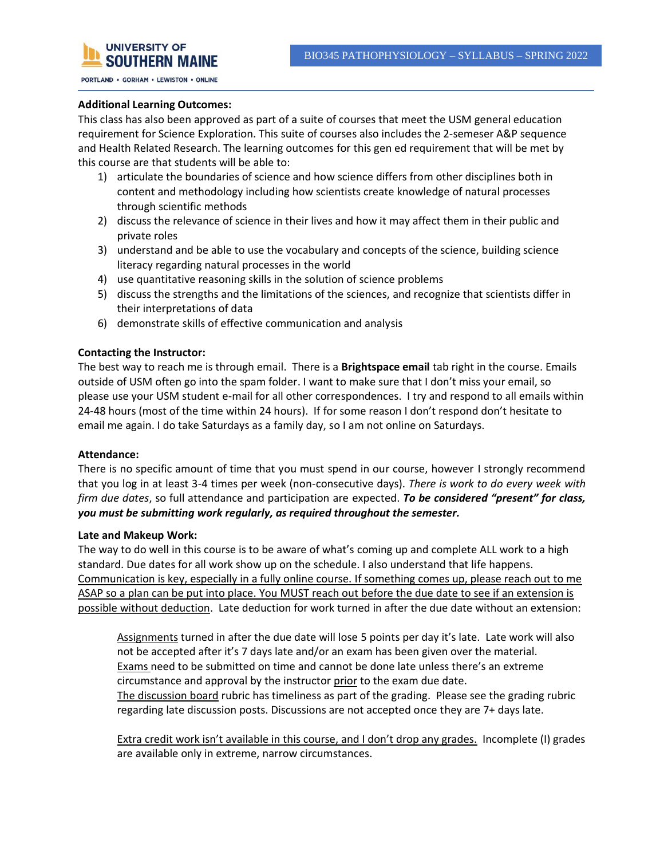

PORTLAND . GORHAM . LEWISTON . ONLINE

### **Additional Learning Outcomes:**

This class has also been approved as part of a suite of courses that meet the USM general education requirement for Science Exploration. This suite of courses also includes the 2-semeser A&P sequence and Health Related Research. The learning outcomes for this gen ed requirement that will be met by this course are that students will be able to:

- 1) articulate the boundaries of science and how science differs from other disciplines both in content and methodology including how scientists create knowledge of natural processes through scientific methods
- 2) discuss the relevance of science in their lives and how it may affect them in their public and private roles
- 3) understand and be able to use the vocabulary and concepts of the science, building science literacy regarding natural processes in the world
- 4) use quantitative reasoning skills in the solution of science problems
- 5) discuss the strengths and the limitations of the sciences, and recognize that scientists differ in their interpretations of data
- 6) demonstrate skills of effective communication and analysis

### **Contacting the Instructor:**

The best way to reach me is through email. There is a **Brightspace email** tab right in the course. Emails outside of USM often go into the spam folder. I want to make sure that I don't miss your email, so please use your USM student e-mail for all other correspondences. I try and respond to all emails within 24-48 hours (most of the time within 24 hours). If for some reason I don't respond don't hesitate to email me again. I do take Saturdays as a family day, so I am not online on Saturdays.

### **Attendance:**

There is no specific amount of time that you must spend in our course, however I strongly recommend that you log in at least 3-4 times per week (non-consecutive days). *There is work to do every week with firm due dates*, so full attendance and participation are expected. *To be considered "present" for class, you must be submitting work regularly, as required throughout the semester.* 

### **Late and Makeup Work:**

The way to do well in this course is to be aware of what's coming up and complete ALL work to a high standard. Due dates for all work show up on the schedule. I also understand that life happens. Communication is key, especially in a fully online course. If something comes up, please reach out to me ASAP so a plan can be put into place. You MUST reach out before the due date to see if an extension is possible without deduction. Late deduction for work turned in after the due date without an extension:

Assignments turned in after the due date will lose 5 points per day it's late. Late work will also not be accepted after it's 7 days late and/or an exam has been given over the material. **Exams need to be submitted on time and cannot be done late unless there's an extreme** circumstance and approval by the instructor prior to the exam due date. The discussion board rubric has timeliness as part of the grading. Please see the grading rubric regarding late discussion posts. Discussions are not accepted once they are 7+ days late.

Extra credit work isn't available in this course, and I don't drop any grades. Incomplete (I) grades are available only in extreme, narrow circumstances.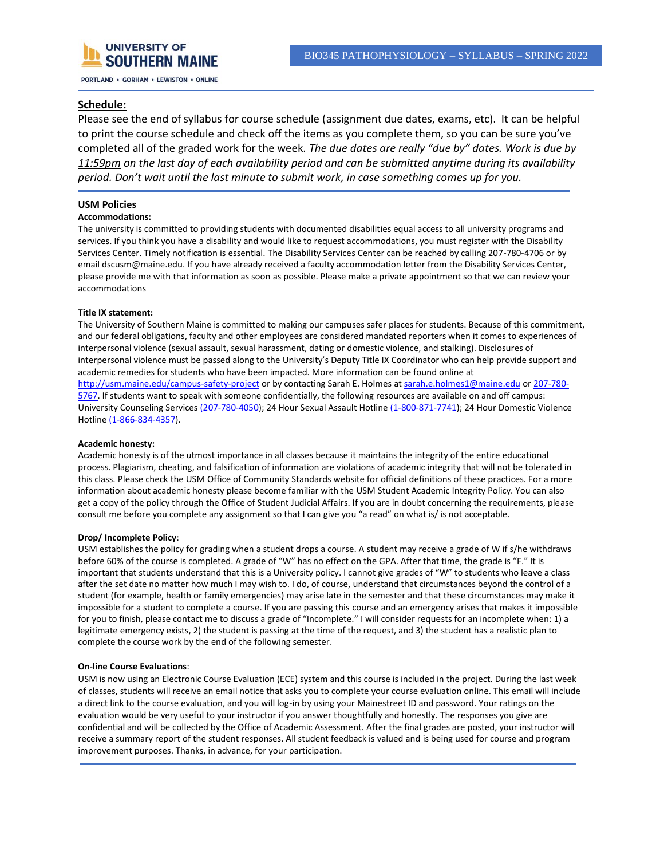

### **Schedule:**

Please see the end of syllabus for course schedule (assignment due dates, exams, etc). It can be helpful to print the course schedule and check off the items as you complete them, so you can be sure you've completed all of the graded work for the week. *The due dates are really "due by" dates. Work is due by 11:59pm on the last day of each availability period and can be submitted anytime during its availability period. Don't wait until the last minute to submit work, in case something comes up for you.*

### **USM Policies**

### **Accommodations:**

The university is committed to providing students with documented disabilities equal access to all university programs and services. If you think you have a disability and would like to request accommodations, you must register with the Disability Services Center. Timely notification is essential. The Disability Services Center can be reached by calling 207-780-4706 or by email dscusm@maine.edu. If you have already received a faculty accommodation letter from the Disability Services Center, please provide me with that information as soon as possible. Please make a private appointment so that we can review your accommodations

### **Title IX statement:**

The University of Southern Maine is committed to making our campuses safer places for students. Because of this commitment, and our federal obligations, faculty and other employees are considered mandated reporters when it comes to experiences of interpersonal violence (sexual assault, sexual harassment, dating or domestic violence, and stalking). Disclosures of interpersonal violence must be passed along to the University's Deputy Title IX Coordinator who can help provide support and academic remedies for students who have been impacted. More information can be found online at http://usm.maine.edu/campus-safety-project or by contacting Sarah E. Holmes at sarah.e.holmes1@maine.edu or 207-780- 5767. If students want to speak with someone confidentially, the following resources are available on and off campus: University Counseling Services (207-780-4050); 24 Hour Sexual Assault Hotline (1-800-871-7741); 24 Hour Domestic Violence Hotline (1-866-834-4357).

#### **Academic honesty:**

Academic honesty is of the utmost importance in all classes because it maintains the integrity of the entire educational process. Plagiarism, cheating, and falsification of information are violations of academic integrity that will not be tolerated in this class. Please check the USM Office of Community Standards website for official definitions of these practices. For a more information about academic honesty please become familiar with the USM Student Academic Integrity Policy. You can also get a copy of the policy through the Office of Student Judicial Affairs. If you are in doubt concerning the requirements, please consult me before you complete any assignment so that I can give you "a read" on what is/ is not acceptable.

### **Drop/ Incomplete Policy**:

USM establishes the policy for grading when a student drops a course. A student may receive a grade of W if s/he withdraws before 60% of the course is completed. A grade of "W" has no effect on the GPA. After that time, the grade is "F." It is important that students understand that this is a University policy. I cannot give grades of "W" to students who leave a class after the set date no matter how much I may wish to. I do, of course, understand that circumstances beyond the control of a student (for example, health or family emergencies) may arise late in the semester and that these circumstances may make it impossible for a student to complete a course. If you are passing this course and an emergency arises that makes it impossible for you to finish, please contact me to discuss a grade of "Incomplete." I will consider requests for an incomplete when: 1) a legitimate emergency exists, 2) the student is passing at the time of the request, and 3) the student has a realistic plan to complete the course work by the end of the following semester.

#### **On-line Course Evaluations**:

USM is now using an Electronic Course Evaluation (ECE) system and this course is included in the project. During the last week of classes, students will receive an email notice that asks you to complete your course evaluation online. This email will include a direct link to the course evaluation, and you will log-in by using your Mainestreet ID and password. Your ratings on the evaluation would be very useful to your instructor if you answer thoughtfully and honestly. The responses you give are confidential and will be collected by the Office of Academic Assessment. After the final grades are posted, your instructor will receive a summary report of the student responses. All student feedback is valued and is being used for course and program improvement purposes. Thanks, in advance, for your participation.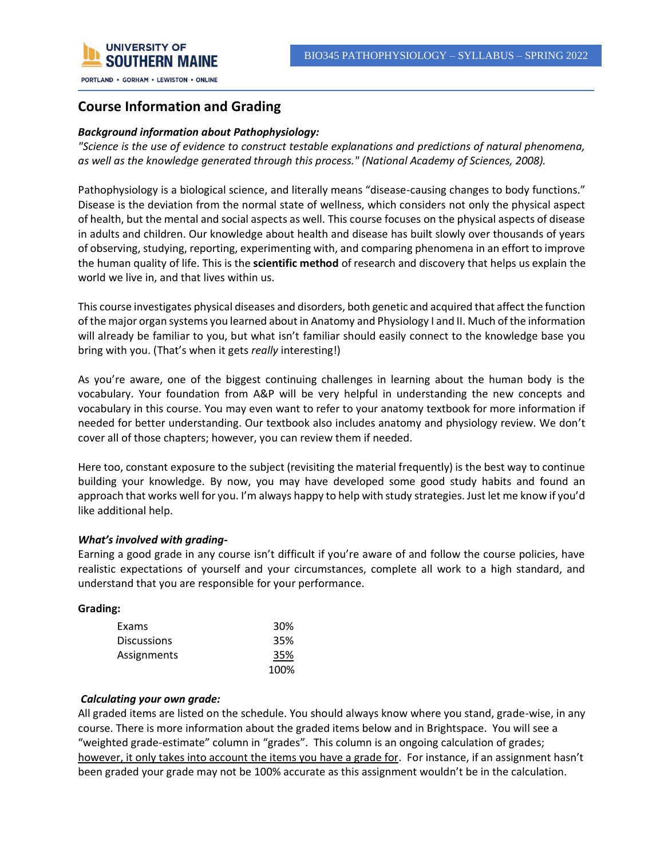

## **Course Information and Grading**

## *Background information about Pathophysiology:*

*"Science is the use of evidence to construct testable explanations and predictions of natural phenomena, as well as the knowledge generated through this process." (National Academy of Sciences, 2008).*

Pathophysiology is a biological science, and literally means "disease-causing changes to body functions." Disease is the deviation from the normal state of wellness, which considers not only the physical aspect of health, but the mental and social aspects as well. This course focuses on the physical aspects of disease in adults and children. Our knowledge about health and disease has built slowly over thousands of years of observing, studying, reporting, experimenting with, and comparing phenomena in an effort to improve the human quality of life. This is the **scientific method** of research and discovery that helps us explain the world we live in, and that lives within us.

This course investigates physical diseases and disorders, both genetic and acquired that affect the function of the major organ systems you learned about in Anatomy and Physiology I and II. Much of the information will already be familiar to you, but what isn't familiar should easily connect to the knowledge base you bring with you. (That's when it gets *really* interesting!)

As you're aware, one of the biggest continuing challenges in learning about the human body is the vocabulary. Your foundation from A&P will be very helpful in understanding the new concepts and vocabulary in this course. You may even want to refer to your anatomy textbook for more information if needed for better understanding. Our textbook also includes anatomy and physiology review. We don't cover all of those chapters; however, you can review them if needed.

Here too, constant exposure to the subject (revisiting the material frequently) is the best way to continue building your knowledge. By now, you may have developed some good study habits and found an approach that works well for you. I'm always happy to help with study strategies. Just let me know if you'd like additional help.

### *What's involved with grading***-**

Earning a good grade in any course isn't difficult if you're aware of and follow the course policies, have realistic expectations of yourself and your circumstances, complete all work to a high standard, and understand that you are responsible for your performance.

### **Grading:**

| Exams              | 30%  |
|--------------------|------|
| <b>Discussions</b> | 35%  |
| Assignments        | 35%  |
|                    | 100% |

### *Calculating your own grade:*

All graded items are listed on the schedule. You should always know where you stand, grade-wise, in any course. There is more information about the graded items below and in Brightspace. You will see a "weighted grade-estimate" column in "grades". This column is an ongoing calculation of grades; however, it only takes into account the items you have a grade for. For instance, if an assignment hasn't been graded your grade may not be 100% accurate as this assignment wouldn't be in the calculation.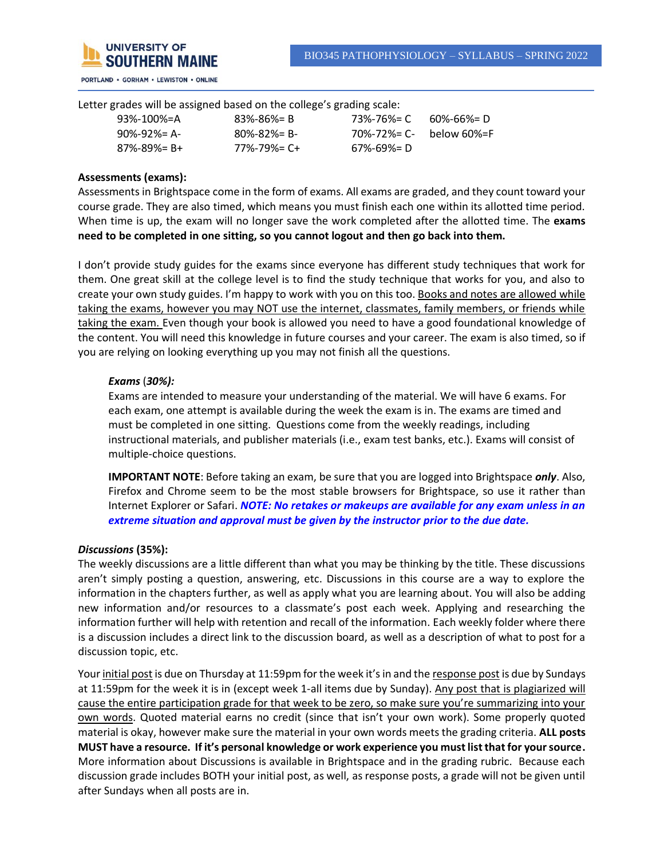

Letter grades will be assigned based on the college's grading scale:

| $93\% - 100\% = A$  | $83\% - 86\% = B$   | 73%-76%= C              | 60%-66%= D |
|---------------------|---------------------|-------------------------|------------|
| $90\% - 92\% = A$   | $80\% - 82\% = B$   | 70%-72%= C- below 60%=F |            |
| $87\% - 89\% = B +$ | $77\% - 79\% = C +$ | 67%-69%= D              |            |
|                     |                     |                         |            |

### **Assessments (exams):**

Assessments in Brightspace come in the form of exams. All exams are graded, and they count toward your course grade. They are also timed, which means you must finish each one within its allotted time period. When time is up, the exam will no longer save the work completed after the allotted time. The **exams need to be completed in one sitting, so you cannot logout and then go back into them.**

I don't provide study guides for the exams since everyone has different study techniques that work for them. One great skill at the college level is to find the study technique that works for you, and also to create your own study guides. I'm happy to work with you on this too. Books and notes are allowed while taking the exams, however you may NOT use the internet, classmates, family members, or friends while taking the exam. Even though your book is allowed you need to have a good foundational knowledge of the content. You will need this knowledge in future courses and your career. The exam is also timed, so if you are relying on looking everything up you may not finish all the questions.

### *Exams* (*30%):*

Exams are intended to measure your understanding of the material. We will have 6 exams. For each exam, one attempt is available during the week the exam is in. The exams are timed and must be completed in one sitting. Questions come from the weekly readings, including instructional materials, and publisher materials (i.e., exam test banks, etc.). Exams will consist of multiple-choice questions.

**IMPORTANT NOTE**: Before taking an exam, be sure that you are logged into Brightspace *only*. Also, Firefox and Chrome seem to be the most stable browsers for Brightspace, so use it rather than Internet Explorer or Safari. *NOTE: No retakes or makeups are available for any exam unless in an extreme situation and approval must be given by the instructor prior to the due date.*

### *Discussions* **(35%):**

The weekly discussions are a little different than what you may be thinking by the title. These discussions aren't simply posting a question, answering, etc. Discussions in this course are a way to explore the information in the chapters further, as well as apply what you are learning about. You will also be adding new information and/or resources to a classmate's post each week. Applying and researching the information further will help with retention and recall of the information. Each weekly folder where there is a discussion includes a direct link to the discussion board, as well as a description of what to post for a discussion topic, etc.

Your initial post is due on Thursday at 11:59pm for the week it's in and the response post is due by Sundays at 11:59pm for the week it is in (except week 1-all items due by Sunday). Any post that is plagiarized will cause the entire participation grade for that week to be zero, so make sure you're summarizing into your own words. Quoted material earns no credit (since that isn't your own work). Some properly quoted material is okay, however make sure the material in your own words meets the grading criteria. **ALL posts MUST have a resource. If it's personal knowledge or work experience you must list that for your source.** More information about Discussions is available in Brightspace and in the grading rubric. Because each discussion grade includes BOTH your initial post, as well, as response posts, a grade will not be given until after Sundays when all posts are in.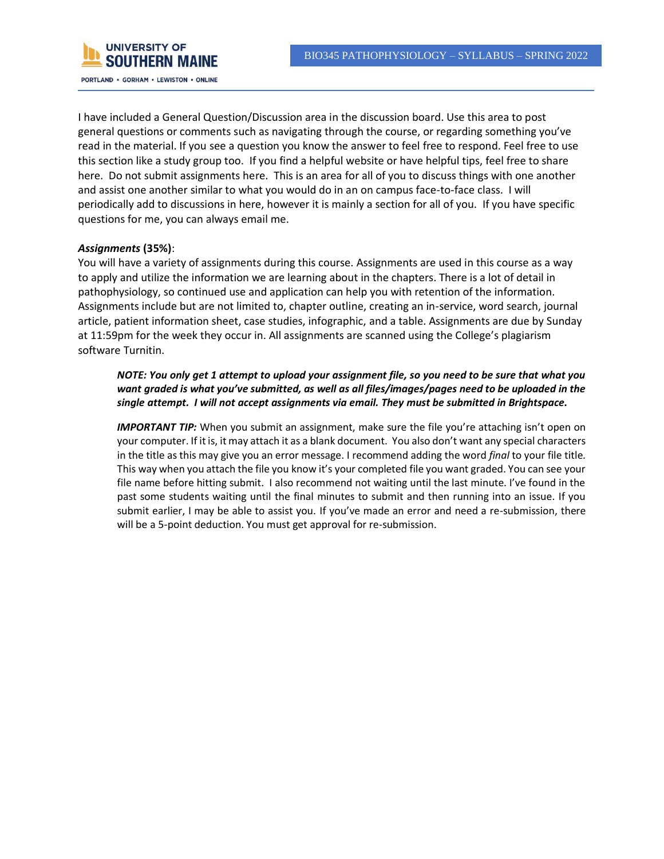

I have included a General Question/Discussion area in the discussion board. Use this area to post general questions or comments such as navigating through the course, or regarding something you've read in the material. If you see a question you know the answer to feel free to respond. Feel free to use this section like a study group too. If you find a helpful website or have helpful tips, feel free to share here. Do not submit assignments here. This is an area for all of you to discuss things with one another and assist one another similar to what you would do in an on campus face-to-face class. I will periodically add to discussions in here, however it is mainly a section for all of you. If you have specific questions for me, you can always email me.

### *Assignments* **(35%)**:

You will have a variety of assignments during this course. Assignments are used in this course as a way to apply and utilize the information we are learning about in the chapters. There is a lot of detail in pathophysiology, so continued use and application can help you with retention of the information. Assignments include but are not limited to, chapter outline, creating an in-service, word search, journal article, patient information sheet, case studies, infographic, and a table. Assignments are due by Sunday at 11:59pm for the week they occur in. All assignments are scanned using the College's plagiarism software Turnitin.

*NOTE: You only get 1 attempt to upload your assignment file, so you need to be sure that what you want graded is what you've submitted, as well as all files/images/pages need to be uploaded in the single attempt. I will not accept assignments via email. They must be submitted in Brightspace.*

**IMPORTANT TIP:** When you submit an assignment, make sure the file you're attaching isn't open on your computer. If it is, it may attach it as a blank document. You also don't want any special characters in the title as this may give you an error message. I recommend adding the word *final* to your file title. This way when you attach the file you know it's your completed file you want graded. You can see your file name before hitting submit. I also recommend not waiting until the last minute. I've found in the past some students waiting until the final minutes to submit and then running into an issue. If you submit earlier, I may be able to assist you. If you've made an error and need a re-submission, there will be a 5-point deduction. You must get approval for re-submission.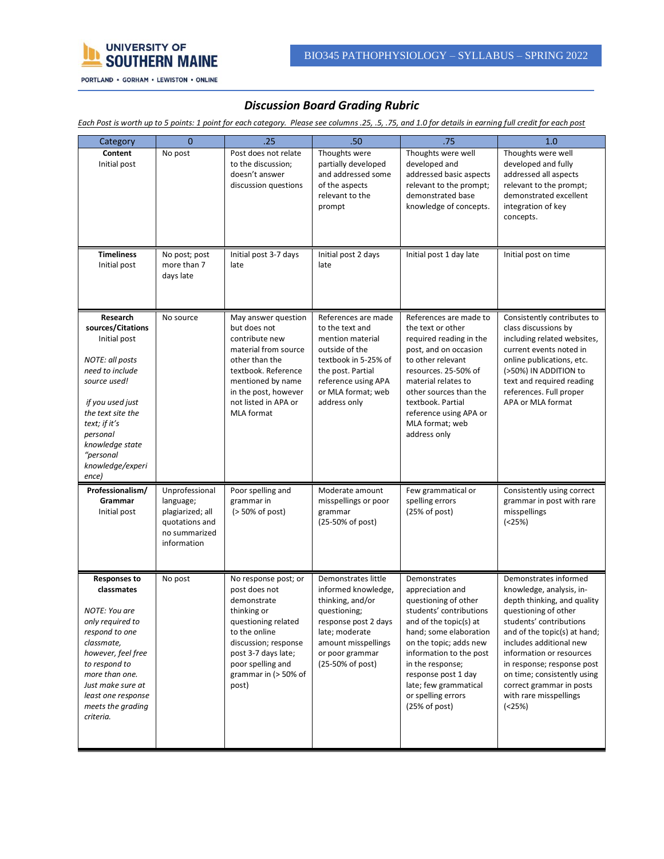

## *Discussion Board Grading Rubric*

*Each Post is worth up to 5 points: 1 point for each category. Please see columns .25, .5, .75, and 1.0 for details in earning full credit for each post*

| Category                                                                                                                                                                                                                                     | $\overline{0}$                                                                                    | .25                                                                                                                                                                                                                 | .50 <sub>0</sub>                                                                                                                                                                       | .75                                                                                                                                                                                                                                                                                                     | 1.0                                                                                                                                                                                                                                                                                                                                                    |
|----------------------------------------------------------------------------------------------------------------------------------------------------------------------------------------------------------------------------------------------|---------------------------------------------------------------------------------------------------|---------------------------------------------------------------------------------------------------------------------------------------------------------------------------------------------------------------------|----------------------------------------------------------------------------------------------------------------------------------------------------------------------------------------|---------------------------------------------------------------------------------------------------------------------------------------------------------------------------------------------------------------------------------------------------------------------------------------------------------|--------------------------------------------------------------------------------------------------------------------------------------------------------------------------------------------------------------------------------------------------------------------------------------------------------------------------------------------------------|
| Content<br>Initial post                                                                                                                                                                                                                      | No post                                                                                           | Post does not relate<br>to the discussion;<br>doesn't answer<br>discussion questions                                                                                                                                | Thoughts were<br>partially developed<br>and addressed some<br>of the aspects<br>relevant to the<br>prompt                                                                              | Thoughts were well<br>developed and<br>addressed basic aspects<br>relevant to the prompt;<br>demonstrated base<br>knowledge of concepts.                                                                                                                                                                | Thoughts were well<br>developed and fully<br>addressed all aspects<br>relevant to the prompt;<br>demonstrated excellent<br>integration of key<br>concepts.                                                                                                                                                                                             |
| <b>Timeliness</b><br>Initial post                                                                                                                                                                                                            | No post; post<br>more than 7<br>days late                                                         | Initial post 3-7 days<br>late                                                                                                                                                                                       | Initial post 2 days<br>late                                                                                                                                                            | Initial post 1 day late                                                                                                                                                                                                                                                                                 | Initial post on time                                                                                                                                                                                                                                                                                                                                   |
| Research<br>sources/Citations<br>Initial post<br>NOTE: all posts<br>need to include<br>source used!<br>if you used just<br>the text site the<br>text; if it's<br>personal<br>knowledge state<br>"personal<br>knowledge/experi<br>ence)       | No source                                                                                         | May answer question<br>but does not<br>contribute new<br>material from source<br>other than the<br>textbook. Reference<br>mentioned by name<br>in the post, however<br>not listed in APA or<br><b>MLA</b> format    | References are made<br>to the text and<br>mention material<br>outside of the<br>textbook in 5-25% of<br>the post. Partial<br>reference using APA<br>or MLA format; web<br>address only | References are made to<br>the text or other<br>required reading in the<br>post, and on occasion<br>to other relevant<br>resources. 25-50% of<br>material relates to<br>other sources than the<br>textbook. Partial<br>reference using APA or<br>MLA format; web<br>address only                         | Consistently contributes to<br>class discussions by<br>including related websites,<br>current events noted in<br>online publications, etc.<br>(>50%) IN ADDITION to<br>text and required reading<br>references. Full proper<br>APA or MLA format                                                                                                       |
| Professionalism/<br>Grammar<br>Initial post                                                                                                                                                                                                  | Unprofessional<br>language;<br>plagiarized; all<br>quotations and<br>no summarized<br>information | Poor spelling and<br>grammar in<br>$($ > 50% of post)                                                                                                                                                               | Moderate amount<br>misspellings or poor<br>grammar<br>(25-50% of post)                                                                                                                 | Few grammatical or<br>spelling errors<br>(25% of post)                                                                                                                                                                                                                                                  | Consistently using correct<br>grammar in post with rare<br>misspellings<br>(25%)                                                                                                                                                                                                                                                                       |
| <b>Responses to</b><br>classmates<br>NOTE: You are<br>only required to<br>respond to one<br>classmate,<br>however, feel free<br>to respond to<br>more than one.<br>Just make sure at<br>least one response<br>meets the grading<br>criteria. | No post                                                                                           | No response post; or<br>post does not<br>demonstrate<br>thinking or<br>questioning related<br>to the online<br>discussion; response<br>post 3-7 days late;<br>poor spelling and<br>grammar in $($ > 50% of<br>post) | Demonstrates little<br>informed knowledge,<br>thinking, and/or<br>questioning;<br>response post 2 days<br>late; moderate<br>amount misspellings<br>or poor grammar<br>(25-50% of post) | Demonstrates<br>appreciation and<br>questioning of other<br>students' contributions<br>and of the topic(s) at<br>hand; some elaboration<br>on the topic; adds new<br>information to the post<br>in the response;<br>response post 1 day<br>late; few grammatical<br>or spelling errors<br>(25% of post) | Demonstrates informed<br>knowledge, analysis, in-<br>depth thinking, and quality<br>questioning of other<br>students' contributions<br>and of the topic(s) at hand;<br>includes additional new<br>information or resources<br>in response; response post<br>on time; consistently using<br>correct grammar in posts<br>with rare misspellings<br>(25%) |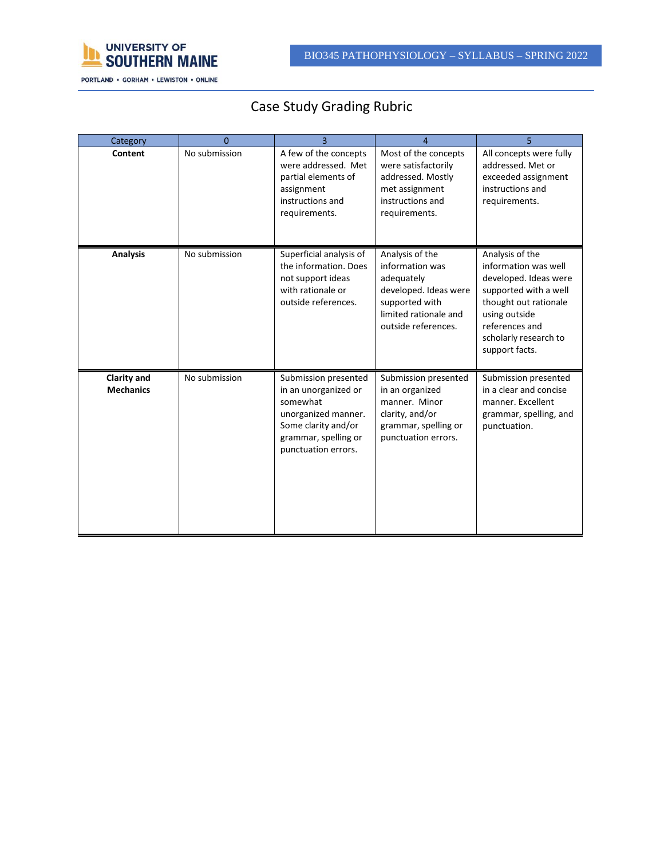

# Case Study Grading Rubric

| Category                               | $\Omega$      |                                                                                                                                                       | 4                                                                                                                                           |                                                                                                                                                                                                  |
|----------------------------------------|---------------|-------------------------------------------------------------------------------------------------------------------------------------------------------|---------------------------------------------------------------------------------------------------------------------------------------------|--------------------------------------------------------------------------------------------------------------------------------------------------------------------------------------------------|
| Content                                | No submission | A few of the concepts<br>were addressed. Met<br>partial elements of<br>assignment<br>instructions and<br>requirements.                                | Most of the concepts<br>were satisfactorily<br>addressed. Mostly<br>met assignment<br>instructions and<br>requirements.                     | All concepts were fully<br>addressed. Met or<br>exceeded assignment<br>instructions and<br>requirements.                                                                                         |
| <b>Analysis</b>                        | No submission | Superficial analysis of<br>the information. Does<br>not support ideas<br>with rationale or<br>outside references.                                     | Analysis of the<br>information was<br>adequately<br>developed. Ideas were<br>supported with<br>limited rationale and<br>outside references. | Analysis of the<br>information was well<br>developed. Ideas were<br>supported with a well<br>thought out rationale<br>using outside<br>references and<br>scholarly research to<br>support facts. |
| <b>Clarity and</b><br><b>Mechanics</b> | No submission | Submission presented<br>in an unorganized or<br>somewhat<br>unorganized manner.<br>Some clarity and/or<br>grammar, spelling or<br>punctuation errors. | Submission presented<br>in an organized<br>manner. Minor<br>clarity, and/or<br>grammar, spelling or<br>punctuation errors.                  | Submission presented<br>in a clear and concise<br>manner. Excellent<br>grammar, spelling, and<br>punctuation.                                                                                    |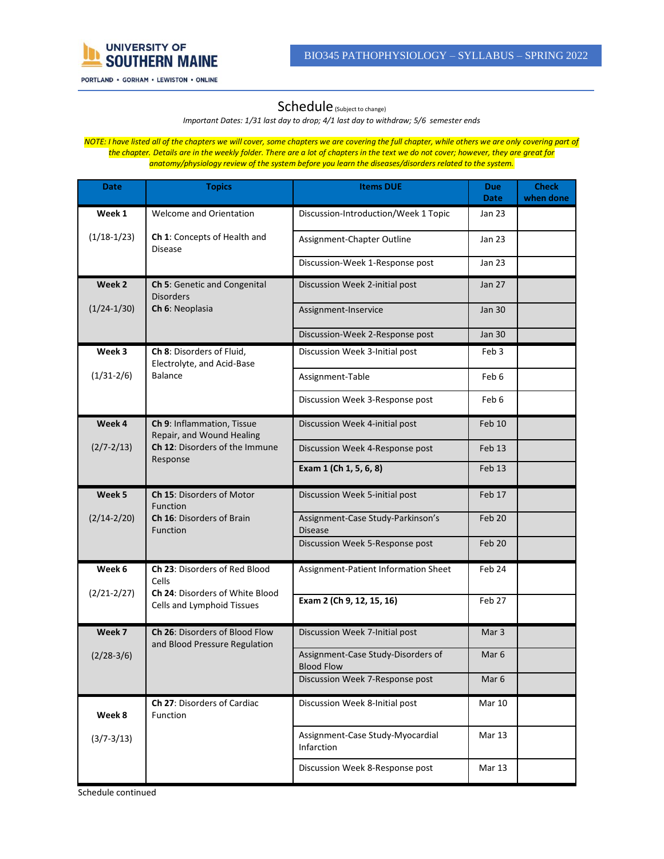

### Schedule (Subject to change)

*Important Dates: 1/31 last day to drop; 4/1 last day to withdraw; 5/6 semester ends*

*NOTE: I have listed all of the chapters we will cover, some chapters we are covering the full chapter, while others we are only covering part of the chapter. Details are in the weekly folder. There are a lot of chapters in the text we do not cover; however, they are great for anatomy/physiology review of the system before you learn the diseases/disorders related to the system.*

| Date                       | <b>Topics</b>                                                        | <b>Items DUE</b>                                        | <b>Due</b><br>Date | <b>Check</b><br>when done |
|----------------------------|----------------------------------------------------------------------|---------------------------------------------------------|--------------------|---------------------------|
| Week 1                     | <b>Welcome and Orientation</b>                                       | Discussion-Introduction/Week 1 Topic                    | Jan 23             |                           |
| $(1/18-1/23)$              | Ch 1: Concepts of Health and<br><b>Disease</b>                       | Assignment-Chapter Outline                              | Jan 23             |                           |
|                            |                                                                      | Discussion-Week 1-Response post                         | Jan 23             |                           |
| Week 2                     | Ch 5: Genetic and Congenital<br><b>Disorders</b>                     | Discussion Week 2-initial post                          | Jan 27             |                           |
| $(1/24-1/30)$              | Ch 6: Neoplasia                                                      | Assignment-Inservice                                    | Jan 30             |                           |
|                            |                                                                      | Discussion-Week 2-Response post                         | <b>Jan 30</b>      |                           |
| Week 3                     | Ch 8: Disorders of Fluid,<br>Electrolyte, and Acid-Base              | Discussion Week 3-Initial post                          | Feb 3              |                           |
| $(1/31 - 2/6)$             | <b>Balance</b>                                                       | Assignment-Table                                        | Feb 6              |                           |
|                            |                                                                      | Discussion Week 3-Response post                         | Feb 6              |                           |
| Week 4                     | Ch 9: Inflammation, Tissue<br>Repair, and Wound Healing              | Discussion Week 4-initial post                          | Feb 10             |                           |
| $(2/7 - 2/13)$<br>Response | Ch 12: Disorders of the Immune                                       | Discussion Week 4-Response post                         | Feb 13             |                           |
|                            |                                                                      | Exam 1 (Ch 1, 5, 6, 8)                                  | Feb 13             |                           |
| Week <sub>5</sub>          | Ch 15: Disorders of Motor<br>Function                                | Discussion Week 5-initial post                          | Feb 17             |                           |
| $(2/14 - 2/20)$            | <b>Ch 16: Disorders of Brain</b><br>Function                         | Assignment-Case Study-Parkinson's<br><b>Disease</b>     | Feb 20             |                           |
|                            |                                                                      | Discussion Week 5-Response post                         | Feb 20             |                           |
| Week 6                     | Ch 23: Disorders of Red Blood<br>Cells                               | Assignment-Patient Information Sheet                    | Feb 24             |                           |
| $(2/21 - 2/27)$            | <b>Ch 24: Disorders of White Blood</b><br>Cells and Lymphoid Tissues | Exam 2 (Ch 9, 12, 15, 16)                               | Feb 27             |                           |
| Week 7                     | Ch 26: Disorders of Blood Flow<br>and Blood Pressure Regulation      | Discussion Week 7-Initial post                          | Mar <sub>3</sub>   |                           |
| $(2/28-3/6)$               |                                                                      | Assignment-Case Study-Disorders of<br><b>Blood Flow</b> | Mar <sub>6</sub>   |                           |
|                            |                                                                      | Discussion Week 7-Response post                         | Mar 6              |                           |
| Week 8                     | Ch 27: Disorders of Cardiac<br><b>Function</b>                       | Discussion Week 8-Initial post                          | Mar 10             |                           |
| $(3/7 - 3/13)$             |                                                                      | Assignment-Case Study-Myocardial<br>Infarction          | Mar 13             |                           |
|                            |                                                                      | Discussion Week 8-Response post                         | <b>Mar 13</b>      |                           |

Schedule continued